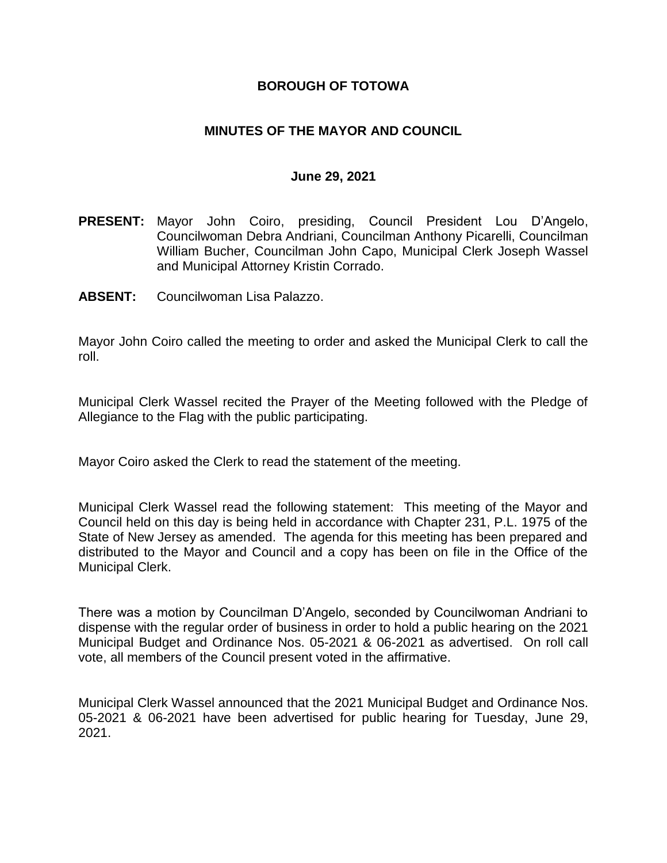## **BOROUGH OF TOTOWA**

## **MINUTES OF THE MAYOR AND COUNCIL**

#### **June 29, 2021**

- **PRESENT:** Mayor John Coiro, presiding, Council President Lou D'Angelo, Councilwoman Debra Andriani, Councilman Anthony Picarelli, Councilman William Bucher, Councilman John Capo, Municipal Clerk Joseph Wassel and Municipal Attorney Kristin Corrado.
- **ABSENT:** Councilwoman Lisa Palazzo.

Mayor John Coiro called the meeting to order and asked the Municipal Clerk to call the roll.

Municipal Clerk Wassel recited the Prayer of the Meeting followed with the Pledge of Allegiance to the Flag with the public participating.

Mayor Coiro asked the Clerk to read the statement of the meeting.

Municipal Clerk Wassel read the following statement: This meeting of the Mayor and Council held on this day is being held in accordance with Chapter 231, P.L. 1975 of the State of New Jersey as amended. The agenda for this meeting has been prepared and distributed to the Mayor and Council and a copy has been on file in the Office of the Municipal Clerk.

There was a motion by Councilman D'Angelo, seconded by Councilwoman Andriani to dispense with the regular order of business in order to hold a public hearing on the 2021 Municipal Budget and Ordinance Nos. 05-2021 & 06-2021 as advertised. On roll call vote, all members of the Council present voted in the affirmative.

Municipal Clerk Wassel announced that the 2021 Municipal Budget and Ordinance Nos. 05-2021 & 06-2021 have been advertised for public hearing for Tuesday, June 29, 2021.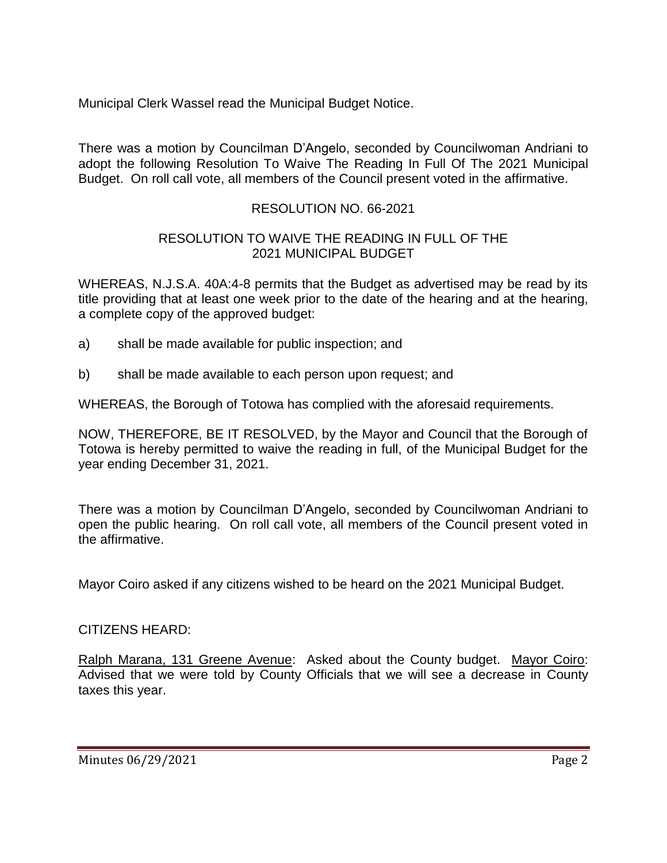Municipal Clerk Wassel read the Municipal Budget Notice.

There was a motion by Councilman D'Angelo, seconded by Councilwoman Andriani to adopt the following Resolution To Waive The Reading In Full Of The 2021 Municipal Budget. On roll call vote, all members of the Council present voted in the affirmative.

# RESOLUTION NO. 66-2021

## RESOLUTION TO WAIVE THE READING IN FULL OF THE 2021 MUNICIPAL BUDGET

WHEREAS, N.J.S.A. 40A:4-8 permits that the Budget as advertised may be read by its title providing that at least one week prior to the date of the hearing and at the hearing, a complete copy of the approved budget:

- a) shall be made available for public inspection; and
- b) shall be made available to each person upon request; and

WHEREAS, the Borough of Totowa has complied with the aforesaid requirements.

NOW, THEREFORE, BE IT RESOLVED, by the Mayor and Council that the Borough of Totowa is hereby permitted to waive the reading in full, of the Municipal Budget for the year ending December 31, 2021.

There was a motion by Councilman D'Angelo, seconded by Councilwoman Andriani to open the public hearing. On roll call vote, all members of the Council present voted in the affirmative.

Mayor Coiro asked if any citizens wished to be heard on the 2021 Municipal Budget.

## CITIZENS HEARD:

Ralph Marana, 131 Greene Avenue: Asked about the County budget. Mayor Coiro: Advised that we were told by County Officials that we will see a decrease in County taxes this year.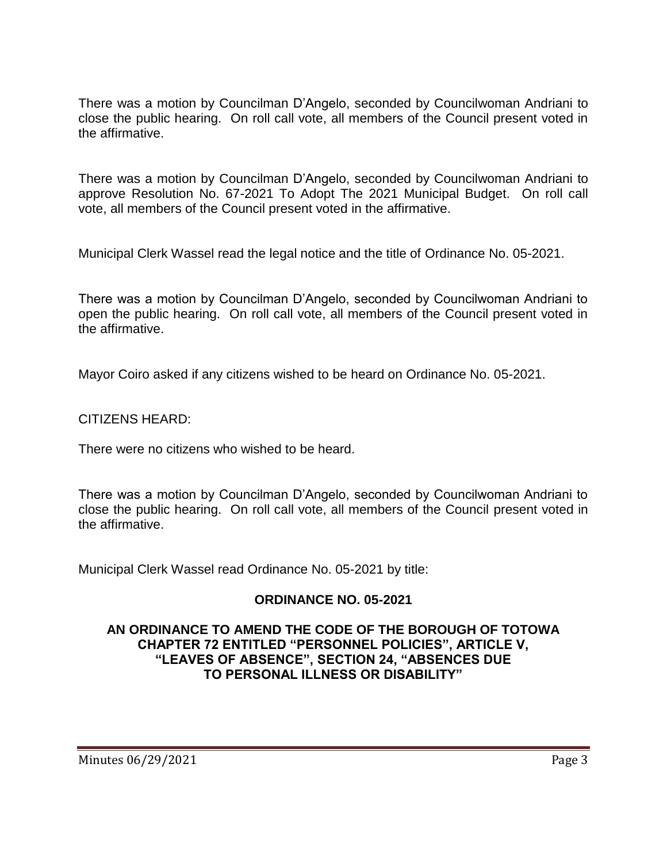There was a motion by Councilman D'Angelo, seconded by Councilwoman Andriani to close the public hearing. On roll call vote, all members of the Council present voted in the affirmative.

There was a motion by Councilman D'Angelo, seconded by Councilwoman Andriani to approve Resolution No. 67-2021 To Adopt The 2021 Municipal Budget. On roll call vote, all members of the Council present voted in the affirmative.

Municipal Clerk Wassel read the legal notice and the title of Ordinance No. 05-2021.

There was a motion by Councilman D'Angelo, seconded by Councilwoman Andriani to open the public hearing. On roll call vote, all members of the Council present voted in the affirmative.

Mayor Coiro asked if any citizens wished to be heard on Ordinance No. 05-2021.

CITIZENS HEARD:

There were no citizens who wished to be heard.

There was a motion by Councilman D'Angelo, seconded by Councilwoman Andriani to close the public hearing. On roll call vote, all members of the Council present voted in the affirmative.

Municipal Clerk Wassel read Ordinance No. 05-2021 by title:

## **ORDINANCE NO. 05-2021**

### **AN ORDINANCE TO AMEND THE CODE OF THE BOROUGH OF TOTOWA CHAPTER 72 ENTITLED "PERSONNEL POLICIES", ARTICLE V, "LEAVES OF ABSENCE", SECTION 24, "ABSENCES DUE TO PERSONAL ILLNESS OR DISABILITY"**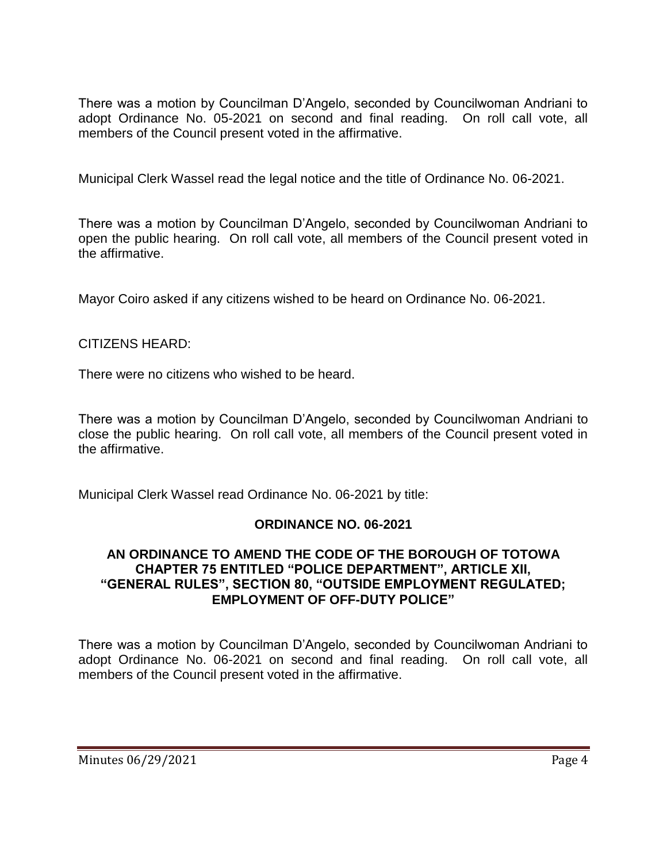There was a motion by Councilman D'Angelo, seconded by Councilwoman Andriani to adopt Ordinance No. 05-2021 on second and final reading. On roll call vote, all members of the Council present voted in the affirmative.

Municipal Clerk Wassel read the legal notice and the title of Ordinance No. 06-2021.

There was a motion by Councilman D'Angelo, seconded by Councilwoman Andriani to open the public hearing. On roll call vote, all members of the Council present voted in the affirmative.

Mayor Coiro asked if any citizens wished to be heard on Ordinance No. 06-2021.

## CITIZENS HEARD:

There were no citizens who wished to be heard.

There was a motion by Councilman D'Angelo, seconded by Councilwoman Andriani to close the public hearing. On roll call vote, all members of the Council present voted in the affirmative.

Municipal Clerk Wassel read Ordinance No. 06-2021 by title:

### **ORDINANCE NO. 06-2021**

### **AN ORDINANCE TO AMEND THE CODE OF THE BOROUGH OF TOTOWA CHAPTER 75 ENTITLED "POLICE DEPARTMENT", ARTICLE XII, "GENERAL RULES", SECTION 80, "OUTSIDE EMPLOYMENT REGULATED; EMPLOYMENT OF OFF-DUTY POLICE"**

There was a motion by Councilman D'Angelo, seconded by Councilwoman Andriani to adopt Ordinance No. 06-2021 on second and final reading. On roll call vote, all members of the Council present voted in the affirmative.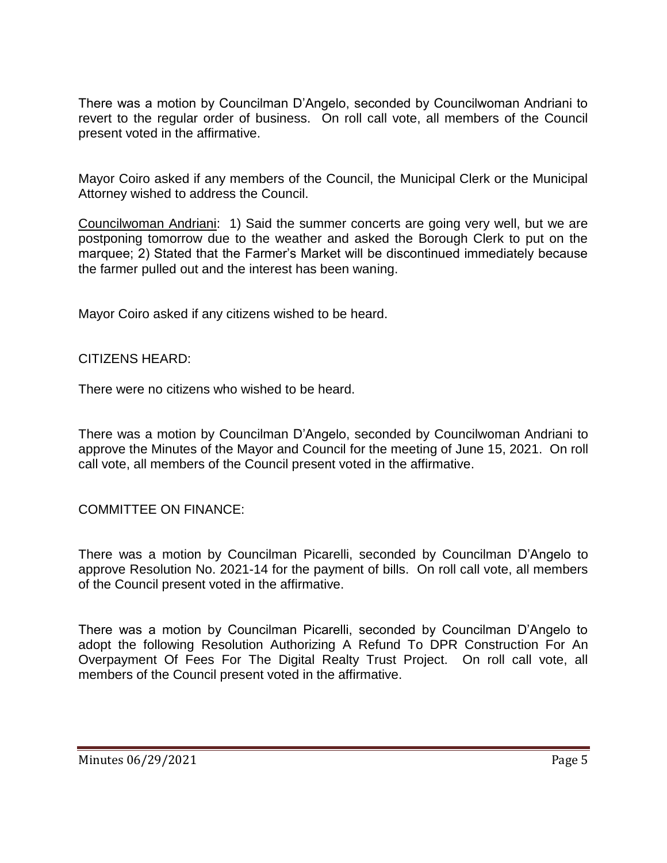There was a motion by Councilman D'Angelo, seconded by Councilwoman Andriani to revert to the regular order of business. On roll call vote, all members of the Council present voted in the affirmative.

Mayor Coiro asked if any members of the Council, the Municipal Clerk or the Municipal Attorney wished to address the Council.

Councilwoman Andriani: 1) Said the summer concerts are going very well, but we are postponing tomorrow due to the weather and asked the Borough Clerk to put on the marquee; 2) Stated that the Farmer's Market will be discontinued immediately because the farmer pulled out and the interest has been waning.

Mayor Coiro asked if any citizens wished to be heard.

### CITIZENS HEARD:

There were no citizens who wished to be heard.

There was a motion by Councilman D'Angelo, seconded by Councilwoman Andriani to approve the Minutes of the Mayor and Council for the meeting of June 15, 2021. On roll call vote, all members of the Council present voted in the affirmative.

COMMITTEE ON FINANCE:

There was a motion by Councilman Picarelli, seconded by Councilman D'Angelo to approve Resolution No. 2021-14 for the payment of bills. On roll call vote, all members of the Council present voted in the affirmative.

There was a motion by Councilman Picarelli, seconded by Councilman D'Angelo to adopt the following Resolution Authorizing A Refund To DPR Construction For An Overpayment Of Fees For The Digital Realty Trust Project. On roll call vote, all members of the Council present voted in the affirmative.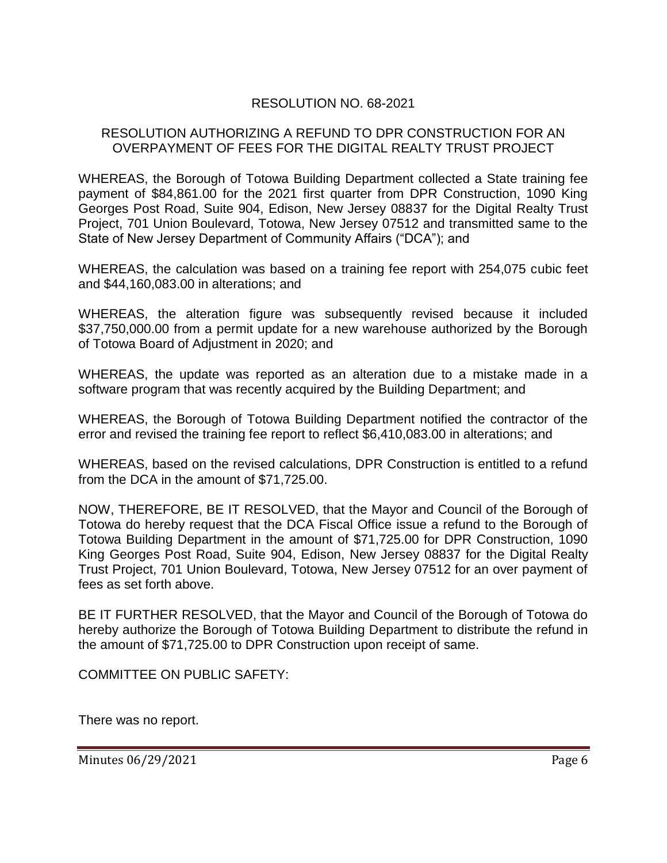## RESOLUTION NO. 68-2021

### RESOLUTION AUTHORIZING A REFUND TO DPR CONSTRUCTION FOR AN OVERPAYMENT OF FEES FOR THE DIGITAL REALTY TRUST PROJECT

WHEREAS, the Borough of Totowa Building Department collected a State training fee payment of \$84,861.00 for the 2021 first quarter from DPR Construction, 1090 King Georges Post Road, Suite 904, Edison, New Jersey 08837 for the Digital Realty Trust Project, 701 Union Boulevard, Totowa, New Jersey 07512 and transmitted same to the State of New Jersey Department of Community Affairs ("DCA"); and

WHEREAS, the calculation was based on a training fee report with 254,075 cubic feet and \$44,160,083.00 in alterations; and

WHEREAS, the alteration figure was subsequently revised because it included \$37,750,000.00 from a permit update for a new warehouse authorized by the Borough of Totowa Board of Adjustment in 2020; and

WHEREAS, the update was reported as an alteration due to a mistake made in a software program that was recently acquired by the Building Department; and

WHEREAS, the Borough of Totowa Building Department notified the contractor of the error and revised the training fee report to reflect \$6,410,083.00 in alterations; and

WHEREAS, based on the revised calculations, DPR Construction is entitled to a refund from the DCA in the amount of \$71,725.00.

NOW, THEREFORE, BE IT RESOLVED, that the Mayor and Council of the Borough of Totowa do hereby request that the DCA Fiscal Office issue a refund to the Borough of Totowa Building Department in the amount of \$71,725.00 for DPR Construction, 1090 King Georges Post Road, Suite 904, Edison, New Jersey 08837 for the Digital Realty Trust Project, 701 Union Boulevard, Totowa, New Jersey 07512 for an over payment of fees as set forth above.

BE IT FURTHER RESOLVED, that the Mayor and Council of the Borough of Totowa do hereby authorize the Borough of Totowa Building Department to distribute the refund in the amount of \$71,725.00 to DPR Construction upon receipt of same.

COMMITTEE ON PUBLIC SAFETY:

There was no report.

Minutes 06/29/2021 **Page 6**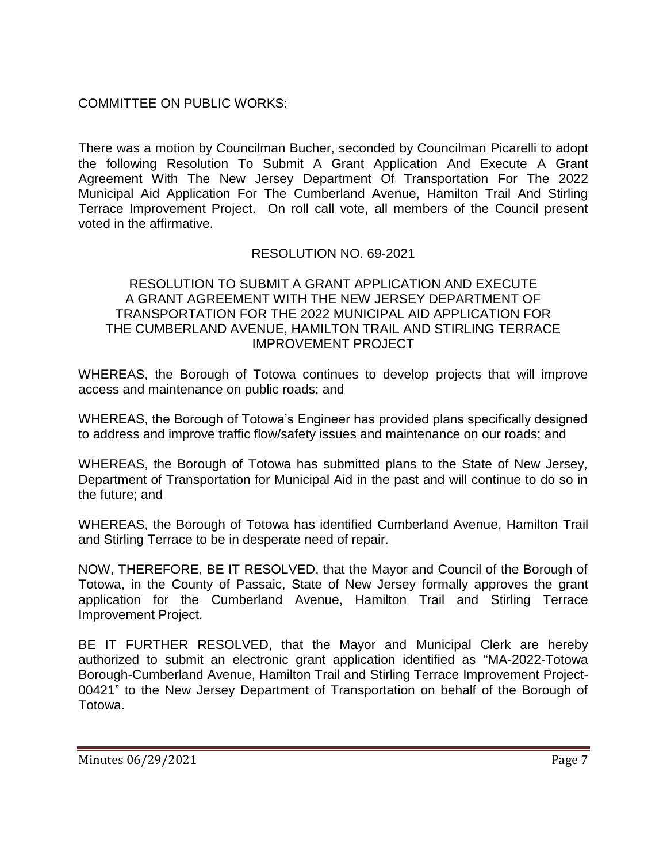COMMITTEE ON PUBLIC WORKS:

There was a motion by Councilman Bucher, seconded by Councilman Picarelli to adopt the following Resolution To Submit A Grant Application And Execute A Grant Agreement With The New Jersey Department Of Transportation For The 2022 Municipal Aid Application For The Cumberland Avenue, Hamilton Trail And Stirling Terrace Improvement Project. On roll call vote, all members of the Council present voted in the affirmative.

# RESOLUTION NO. 69-2021

### RESOLUTION TO SUBMIT A GRANT APPLICATION AND EXECUTE A GRANT AGREEMENT WITH THE NEW JERSEY DEPARTMENT OF TRANSPORTATION FOR THE 2022 MUNICIPAL AID APPLICATION FOR THE CUMBERLAND AVENUE, HAMILTON TRAIL AND STIRLING TERRACE IMPROVEMENT PROJECT

WHEREAS, the Borough of Totowa continues to develop projects that will improve access and maintenance on public roads; and

WHEREAS, the Borough of Totowa's Engineer has provided plans specifically designed to address and improve traffic flow/safety issues and maintenance on our roads; and

WHEREAS, the Borough of Totowa has submitted plans to the State of New Jersey, Department of Transportation for Municipal Aid in the past and will continue to do so in the future; and

WHEREAS, the Borough of Totowa has identified Cumberland Avenue, Hamilton Trail and Stirling Terrace to be in desperate need of repair.

NOW, THEREFORE, BE IT RESOLVED, that the Mayor and Council of the Borough of Totowa, in the County of Passaic, State of New Jersey formally approves the grant application for the Cumberland Avenue, Hamilton Trail and Stirling Terrace Improvement Project.

BE IT FURTHER RESOLVED, that the Mayor and Municipal Clerk are hereby authorized to submit an electronic grant application identified as "MA-2022-Totowa Borough-Cumberland Avenue, Hamilton Trail and Stirling Terrace Improvement Project-00421" to the New Jersey Department of Transportation on behalf of the Borough of Totowa.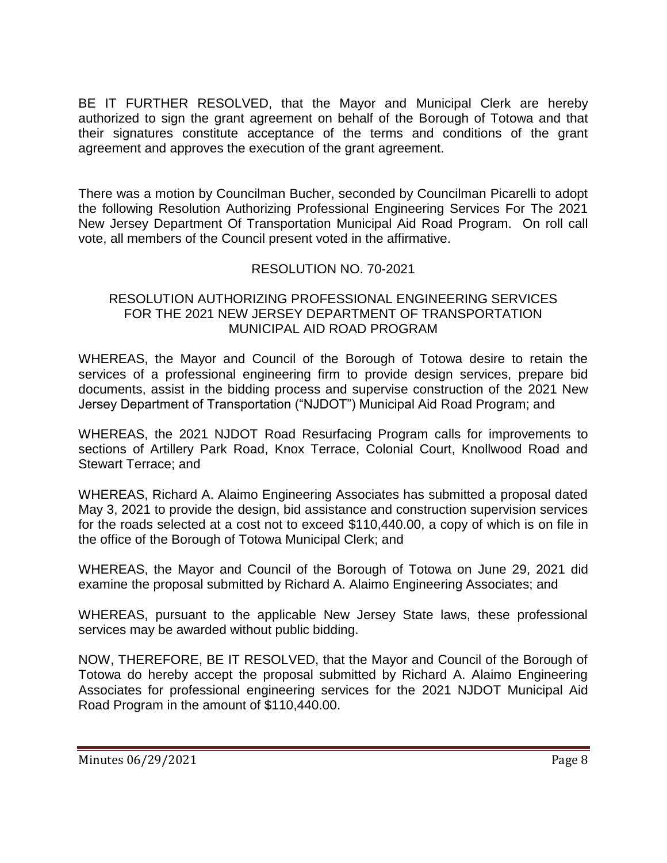BE IT FURTHER RESOLVED, that the Mayor and Municipal Clerk are hereby authorized to sign the grant agreement on behalf of the Borough of Totowa and that their signatures constitute acceptance of the terms and conditions of the grant agreement and approves the execution of the grant agreement.

There was a motion by Councilman Bucher, seconded by Councilman Picarelli to adopt the following Resolution Authorizing Professional Engineering Services For The 2021 New Jersey Department Of Transportation Municipal Aid Road Program. On roll call vote, all members of the Council present voted in the affirmative.

## RESOLUTION NO. 70-2021

### RESOLUTION AUTHORIZING PROFESSIONAL ENGINEERING SERVICES FOR THE 2021 NEW JERSEY DEPARTMENT OF TRANSPORTATION MUNICIPAL AID ROAD PROGRAM

WHEREAS, the Mayor and Council of the Borough of Totowa desire to retain the services of a professional engineering firm to provide design services, prepare bid documents, assist in the bidding process and supervise construction of the 2021 New Jersey Department of Transportation ("NJDOT") Municipal Aid Road Program; and

WHEREAS, the 2021 NJDOT Road Resurfacing Program calls for improvements to sections of Artillery Park Road, Knox Terrace, Colonial Court, Knollwood Road and Stewart Terrace; and

WHEREAS, Richard A. Alaimo Engineering Associates has submitted a proposal dated May 3, 2021 to provide the design, bid assistance and construction supervision services for the roads selected at a cost not to exceed \$110,440.00, a copy of which is on file in the office of the Borough of Totowa Municipal Clerk; and

WHEREAS, the Mayor and Council of the Borough of Totowa on June 29, 2021 did examine the proposal submitted by Richard A. Alaimo Engineering Associates; and

WHEREAS, pursuant to the applicable New Jersey State laws, these professional services may be awarded without public bidding.

NOW, THEREFORE, BE IT RESOLVED, that the Mayor and Council of the Borough of Totowa do hereby accept the proposal submitted by Richard A. Alaimo Engineering Associates for professional engineering services for the 2021 NJDOT Municipal Aid Road Program in the amount of \$110,440.00.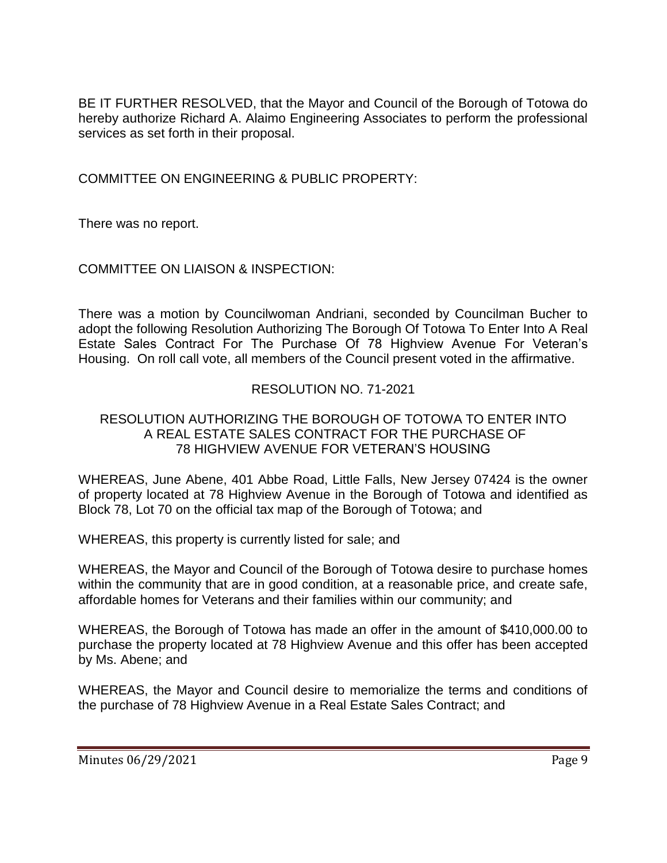BE IT FURTHER RESOLVED, that the Mayor and Council of the Borough of Totowa do hereby authorize Richard A. Alaimo Engineering Associates to perform the professional services as set forth in their proposal.

COMMITTEE ON ENGINEERING & PUBLIC PROPERTY:

There was no report.

# COMMITTEE ON LIAISON & INSPECTION:

There was a motion by Councilwoman Andriani, seconded by Councilman Bucher to adopt the following Resolution Authorizing The Borough Of Totowa To Enter Into A Real Estate Sales Contract For The Purchase Of 78 Highview Avenue For Veteran's Housing. On roll call vote, all members of the Council present voted in the affirmative.

# RESOLUTION NO. 71-2021

## RESOLUTION AUTHORIZING THE BOROUGH OF TOTOWA TO ENTER INTO A REAL ESTATE SALES CONTRACT FOR THE PURCHASE OF 78 HIGHVIEW AVENUE FOR VETERAN'S HOUSING

WHEREAS, June Abene, 401 Abbe Road, Little Falls, New Jersey 07424 is the owner of property located at 78 Highview Avenue in the Borough of Totowa and identified as Block 78, Lot 70 on the official tax map of the Borough of Totowa; and

WHEREAS, this property is currently listed for sale; and

WHEREAS, the Mayor and Council of the Borough of Totowa desire to purchase homes within the community that are in good condition, at a reasonable price, and create safe, affordable homes for Veterans and their families within our community; and

WHEREAS, the Borough of Totowa has made an offer in the amount of \$410,000.00 to purchase the property located at 78 Highview Avenue and this offer has been accepted by Ms. Abene; and

WHEREAS, the Mayor and Council desire to memorialize the terms and conditions of the purchase of 78 Highview Avenue in a Real Estate Sales Contract; and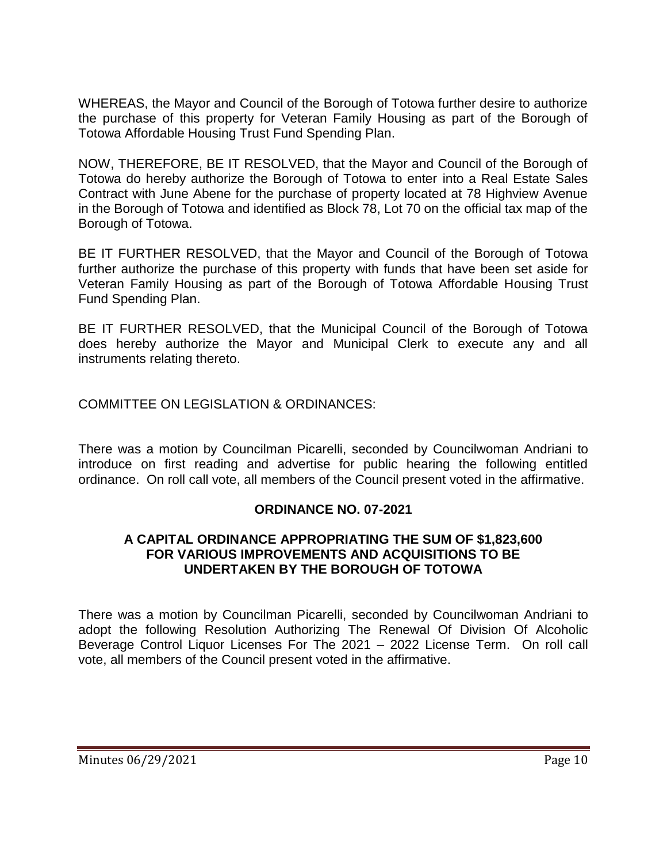WHEREAS, the Mayor and Council of the Borough of Totowa further desire to authorize the purchase of this property for Veteran Family Housing as part of the Borough of Totowa Affordable Housing Trust Fund Spending Plan.

NOW, THEREFORE, BE IT RESOLVED, that the Mayor and Council of the Borough of Totowa do hereby authorize the Borough of Totowa to enter into a Real Estate Sales Contract with June Abene for the purchase of property located at 78 Highview Avenue in the Borough of Totowa and identified as Block 78, Lot 70 on the official tax map of the Borough of Totowa.

BE IT FURTHER RESOLVED, that the Mayor and Council of the Borough of Totowa further authorize the purchase of this property with funds that have been set aside for Veteran Family Housing as part of the Borough of Totowa Affordable Housing Trust Fund Spending Plan.

BE IT FURTHER RESOLVED, that the Municipal Council of the Borough of Totowa does hereby authorize the Mayor and Municipal Clerk to execute any and all instruments relating thereto.

COMMITTEE ON LEGISLATION & ORDINANCES:

There was a motion by Councilman Picarelli, seconded by Councilwoman Andriani to introduce on first reading and advertise for public hearing the following entitled ordinance. On roll call vote, all members of the Council present voted in the affirmative.

## **ORDINANCE NO. 07-2021**

### **A CAPITAL ORDINANCE APPROPRIATING THE SUM OF \$1,823,600 FOR VARIOUS IMPROVEMENTS AND ACQUISITIONS TO BE UNDERTAKEN BY THE BOROUGH OF TOTOWA**

There was a motion by Councilman Picarelli, seconded by Councilwoman Andriani to adopt the following Resolution Authorizing The Renewal Of Division Of Alcoholic Beverage Control Liquor Licenses For The 2021 – 2022 License Term. On roll call vote, all members of the Council present voted in the affirmative.